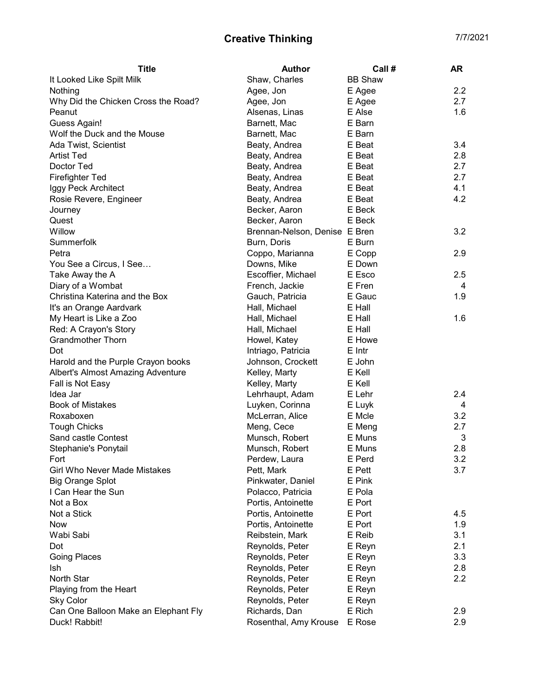## Creative Thinking **Creative Thinking**

| <b>Title</b>                         | <b>Author</b>                 | Call#            | AR  |
|--------------------------------------|-------------------------------|------------------|-----|
| It Looked Like Spilt Milk            | Shaw, Charles                 | <b>BB Shaw</b>   |     |
| Nothing                              | Agee, Jon                     | E Agee           | 2.2 |
| Why Did the Chicken Cross the Road?  | Agee, Jon                     | E Agee           | 2.7 |
| Peanut                               | Alsenas, Linas                | E Alse           | 1.6 |
| Guess Again!                         | Barnett, Mac                  | E Barn           |     |
| Wolf the Duck and the Mouse          | Barnett, Mac                  | E Barn           |     |
| Ada Twist, Scientist                 | Beaty, Andrea                 | E Beat           | 3.4 |
| <b>Artist Ted</b>                    | Beaty, Andrea                 | E Beat           | 2.8 |
| Doctor Ted                           | Beaty, Andrea                 | E Beat           | 2.7 |
| <b>Firefighter Ted</b>               | Beaty, Andrea                 | E Beat           | 2.7 |
| Iggy Peck Architect                  | Beaty, Andrea                 | E Beat           | 4.1 |
| Rosie Revere, Engineer               | Beaty, Andrea                 | E Beat           | 4.2 |
| Journey                              | Becker, Aaron                 | E Beck           |     |
| Quest                                | Becker, Aaron                 | E Beck           |     |
| Willow                               | Brennan-Nelson, Denise E Bren |                  | 3.2 |
| Summerfolk                           | Burn, Doris                   | E Burn           |     |
| Petra                                | Coppo, Marianna               | E Copp           | 2.9 |
| You See a Circus, I See              | Downs, Mike                   | E Down           |     |
| Take Away the A                      | Escoffier, Michael            | E Esco           | 2.5 |
| Diary of a Wombat                    | French, Jackie                | E Fren           | 4   |
| Christina Katerina and the Box       | Gauch, Patricia               | E Gauc           | 1.9 |
| It's an Orange Aardvark              | Hall, Michael                 | E Hall           |     |
| My Heart is Like a Zoo               | Hall, Michael                 | E Hall           | 1.6 |
| Red: A Crayon's Story                | Hall, Michael                 | E Hall           |     |
| <b>Grandmother Thorn</b>             | Howel, Katey                  | E Howe           |     |
| Dot                                  | Intriago, Patricia            | E Intr           |     |
| Harold and the Purple Crayon books   | Johnson, Crockett             | E John           |     |
| Albert's Almost Amazing Adventure    | Kelley, Marty                 | E Kell           |     |
| Fall is Not Easy                     | Kelley, Marty                 | E Kell           |     |
| Idea Jar                             | Lehrhaupt, Adam               | E Lehr           | 2.4 |
| <b>Book of Mistakes</b>              | Luyken, Corinna               |                  | 4   |
| Roxaboxen                            | McLerran, Alice               | E Luyk<br>E Mcle | 3.2 |
|                                      |                               |                  | 2.7 |
| <b>Tough Chicks</b>                  | Meng, Cece                    | E Meng           |     |
| Sand castle Contest                  | Munsch, Robert                | E Muns<br>E Muns | 3   |
| Stephanie's Ponytail                 | Munsch, Robert                |                  | 2.8 |
| Fort                                 | Perdew, Laura                 | E Perd           | 3.2 |
| Girl Who Never Made Mistakes         | Pett, Mark                    | E Pett           | 3.7 |
| <b>Big Orange Splot</b>              | Pinkwater, Daniel             | E Pink           |     |
| I Can Hear the Sun                   | Polacco, Patricia             | E Pola           |     |
| Not a Box                            | Portis, Antoinette            | E Port           |     |
| Not a Stick                          | Portis, Antoinette            | E Port           | 4.5 |
| <b>Now</b>                           | Portis, Antoinette            | E Port           | 1.9 |
| Wabi Sabi                            | Reibstein, Mark               | E Reib           | 3.1 |
| Dot                                  | Reynolds, Peter               | E Reyn           | 2.1 |
| <b>Going Places</b>                  | Reynolds, Peter               | E Reyn           | 3.3 |
| lsh                                  | Reynolds, Peter               | E Reyn           | 2.8 |
| North Star                           | Reynolds, Peter               | E Reyn           | 2.2 |
| Playing from the Heart               | Reynolds, Peter               | E Reyn           |     |
| <b>Sky Color</b>                     | Reynolds, Peter               | E Reyn           |     |
| Can One Balloon Make an Elephant Fly | Richards, Dan                 | E Rich           | 2.9 |
| Duck! Rabbit!                        | Rosenthal, Amy Krouse         | E Rose           | 2.9 |